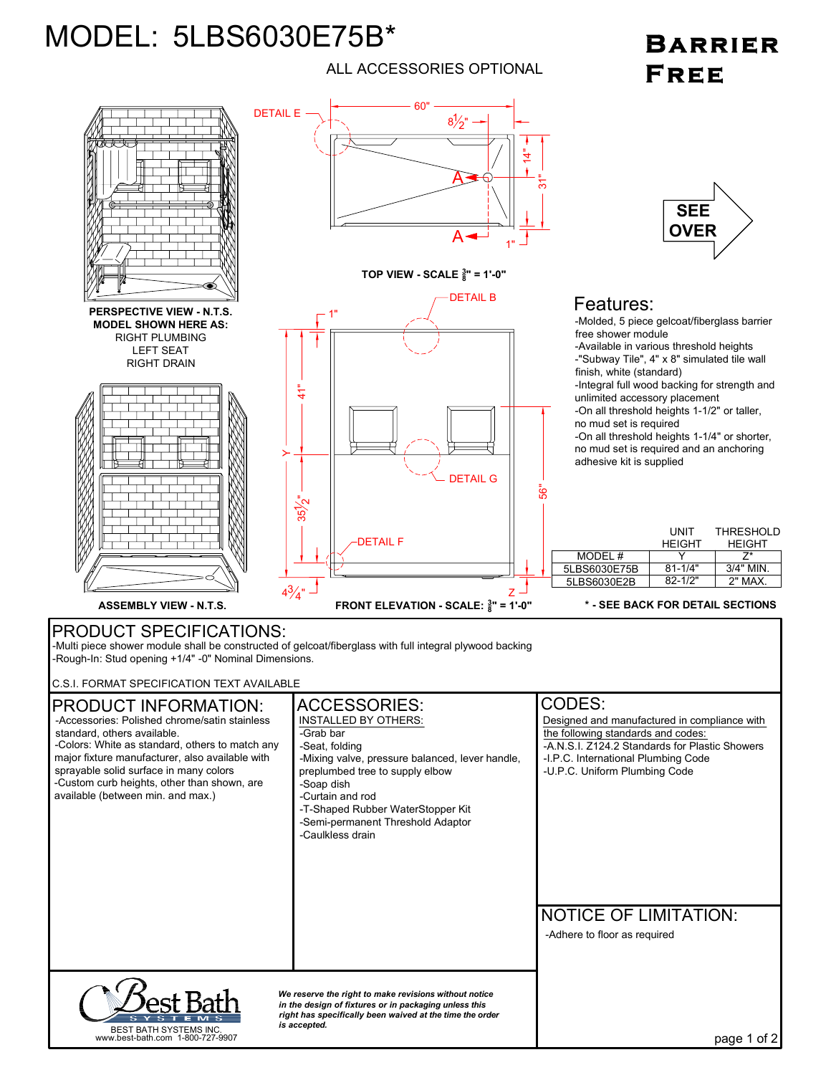## MODEL: 5LBS6030E75B\*

## ALL ACCESSORIES OPTIONAL

## **BARRIER FREE**